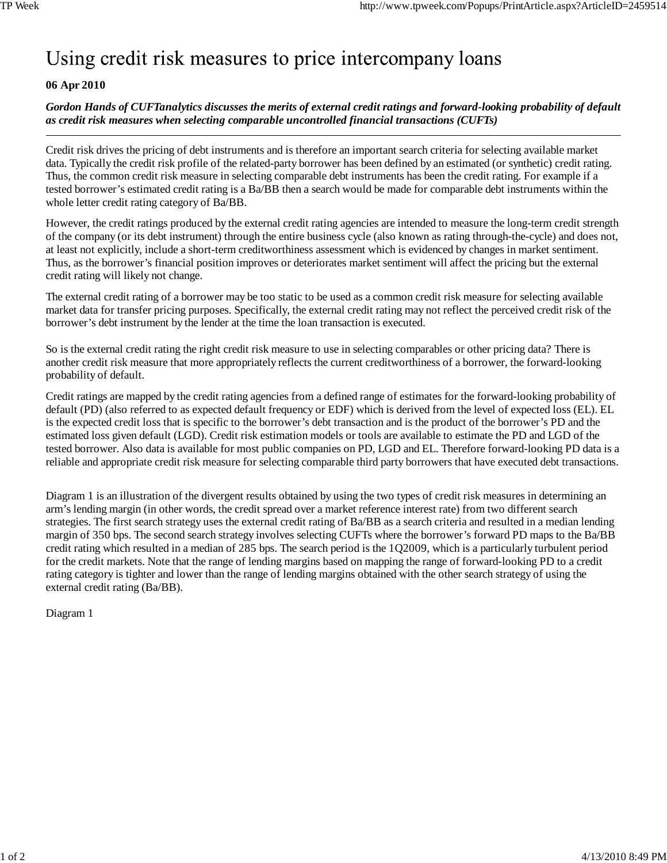## Using credit risk measures to price intercompany loans

## **06 Apr 2010**

*Gordon Hands of CUFTanalytics discusses the merits of external credit ratings and forward-looking probability of default as credit risk measures when selecting comparable uncontrolled financial transactions (CUFTs)*

Credit risk drives the pricing of debt instruments and is therefore an important search criteria for selecting available market data. Typically the credit risk profile of the related-party borrower has been defined by an estimated (or synthetic) credit rating. Thus, the common credit risk measure in selecting comparable debt instruments has been the credit rating. For example if a tested borrower's estimated credit rating is a Ba/BB then a search would be made for comparable debt instruments within the whole letter credit rating category of Ba/BB.

However, the credit ratings produced by the external credit rating agencies are intended to measure the long-term credit strength of the company (or its debt instrument) through the entire business cycle (also known as rating through-the-cycle) and does not, at least not explicitly, include a short-term creditworthiness assessment which is evidenced by changes in market sentiment. Thus, as the borrower's financial position improves or deteriorates market sentiment will affect the pricing but the external credit rating will likely not change.

The external credit rating of a borrower may be too static to be used as a common credit risk measure for selecting available market data for transfer pricing purposes. Specifically, the external credit rating may not reflect the perceived credit risk of the borrower's debt instrument by the lender at the time the loan transaction is executed.

So is the external credit rating the right credit risk measure to use in selecting comparables or other pricing data? There is another credit risk measure that more appropriately reflects the current creditworthiness of a borrower, the forward-looking probability of default.

Credit ratings are mapped by the credit rating agencies from a defined range of estimates for the forward-looking probability of default (PD) (also referred to as expected default frequency or EDF) which is derived from the level of expected loss (EL). EL is the expected credit loss that is specific to the borrower's debt transaction and is the product of the borrower's PD and the estimated loss given default (LGD). Credit risk estimation models or tools are available to estimate the PD and LGD of the tested borrower. Also data is available for most public companies on PD, LGD and EL. Therefore forward-looking PD data is a reliable and appropriate credit risk measure for selecting comparable third party borrowers that have executed debt transactions.

Diagram 1 is an illustration of the divergent results obtained by using the two types of credit risk measures in determining an arm's lending margin (in other words, the credit spread over a market reference interest rate) from two different search strategies. The first search strategy uses the external credit rating of Ba/BB as a search criteria and resulted in a median lending margin of 350 bps. The second search strategy involves selecting CUFTs where the borrower's forward PD maps to the Ba/BB credit rating which resulted in a median of 285 bps. The search period is the 1Q2009, which is a particularly turbulent period for the credit markets. Note that the range of lending margins based on mapping the range of forward-looking PD to a credit rating category is tighter and lower than the range of lending margins obtained with the other search strategy of using the external credit rating (Ba/BB).

Diagram 1